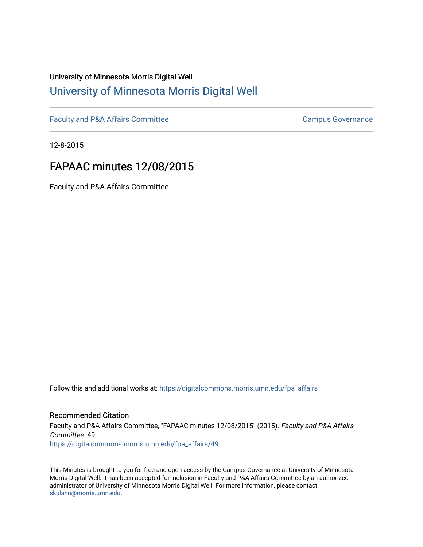## University of Minnesota Morris Digital Well [University of Minnesota Morris Digital Well](https://digitalcommons.morris.umn.edu/)

[Faculty and P&A Affairs Committee](https://digitalcommons.morris.umn.edu/fpa_affairs) [Campus Governance](https://digitalcommons.morris.umn.edu/campgov) Campus Governance

12-8-2015

## FAPAAC minutes 12/08/2015

Faculty and P&A Affairs Committee

Follow this and additional works at: [https://digitalcommons.morris.umn.edu/fpa\\_affairs](https://digitalcommons.morris.umn.edu/fpa_affairs?utm_source=digitalcommons.morris.umn.edu%2Ffpa_affairs%2F49&utm_medium=PDF&utm_campaign=PDFCoverPages)

## Recommended Citation

Faculty and P&A Affairs Committee, "FAPAAC minutes 12/08/2015" (2015). Faculty and P&A Affairs Committee. 49. [https://digitalcommons.morris.umn.edu/fpa\\_affairs/49](https://digitalcommons.morris.umn.edu/fpa_affairs/49?utm_source=digitalcommons.morris.umn.edu%2Ffpa_affairs%2F49&utm_medium=PDF&utm_campaign=PDFCoverPages) 

This Minutes is brought to you for free and open access by the Campus Governance at University of Minnesota Morris Digital Well. It has been accepted for inclusion in Faculty and P&A Affairs Committee by an authorized administrator of University of Minnesota Morris Digital Well. For more information, please contact [skulann@morris.umn.edu.](mailto:skulann@morris.umn.edu)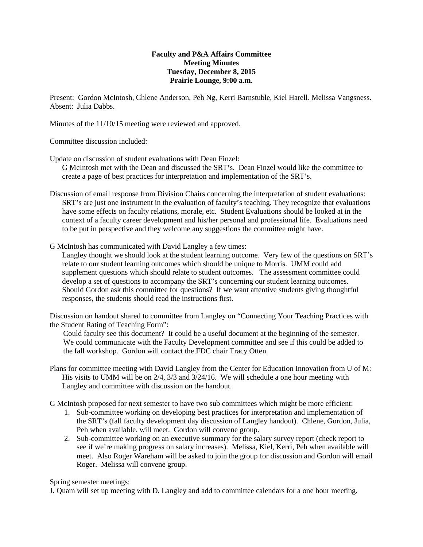## **Faculty and P&A Affairs Committee Meeting Minutes Tuesday, December 8, 2015 Prairie Lounge, 9:00 a.m.**

Present: Gordon McIntosh, Chlene Anderson, Peh Ng, Kerri Barnstuble, Kiel Harell. Melissa Vangsness. Absent: Julia Dabbs.

Minutes of the 11/10/15 meeting were reviewed and approved.

Committee discussion included:

Update on discussion of student evaluations with Dean Finzel:

G McIntosh met with the Dean and discussed the SRT's. Dean Finzel would like the committee to create a page of best practices for interpretation and implementation of the SRT's.

- Discussion of email response from Division Chairs concerning the interpretation of student evaluations: SRT's are just one instrument in the evaluation of faculty's teaching. They recognize that evaluations have some effects on faculty relations, morale, etc. Student Evaluations should be looked at in the context of a faculty career development and his/her personal and professional life. Evaluations need to be put in perspective and they welcome any suggestions the committee might have.
- G McIntosh has communicated with David Langley a few times:

Langley thought we should look at the student learning outcome. Very few of the questions on SRT's relate to our student learning outcomes which should be unique to Morris. UMM could add supplement questions which should relate to student outcomes. The assessment committee could develop a set of questions to accompany the SRT's concerning our student learning outcomes. Should Gordon ask this committee for questions? If we want attentive students giving thoughtful responses, the students should read the instructions first.

Discussion on handout shared to committee from Langley on "Connecting Your Teaching Practices with the Student Rating of Teaching Form":

Could faculty see this document? It could be a useful document at the beginning of the semester. We could communicate with the Faculty Development committee and see if this could be added to the fall workshop. Gordon will contact the FDC chair Tracy Otten.

Plans for committee meeting with David Langley from the Center for Education Innovation from U of M: His visits to UMM will be on 2/4, 3/3 and 3/24/16. We will schedule a one hour meeting with Langley and committee with discussion on the handout.

G McIntosh proposed for next semester to have two sub committees which might be more efficient:

- 1. Sub-committee working on developing best practices for interpretation and implementation of the SRT's (fall faculty development day discussion of Langley handout). Chlene, Gordon, Julia, Peh when available, will meet. Gordon will convene group.
- 2. Sub-committee working on an executive summary for the salary survey report (check report to see if we're making progress on salary increases). Melissa, Kiel, Kerri, Peh when available will meet. Also Roger Wareham will be asked to join the group for discussion and Gordon will email Roger. Melissa will convene group.

Spring semester meetings:

J. Quam will set up meeting with D. Langley and add to committee calendars for a one hour meeting.